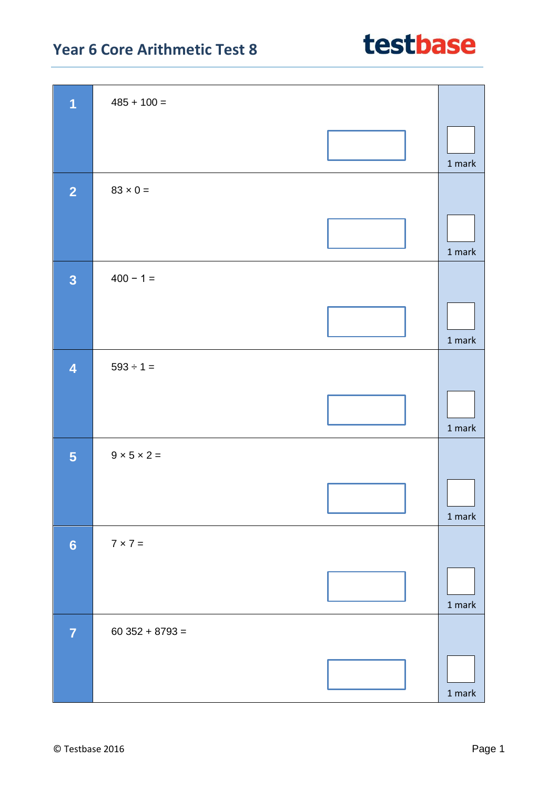### **Year 6 Core Arithmetic Test 8**

| $\overline{1}$          | $485 + 100 =$           |                                    |
|-------------------------|-------------------------|------------------------------------|
|                         |                         |                                    |
|                         |                         |                                    |
|                         |                         | 1 mark                             |
| $\overline{2}$          | $83 \times 0 =$         |                                    |
|                         |                         |                                    |
|                         |                         |                                    |
|                         |                         | $1$ mark                           |
| $\overline{\mathbf{3}}$ | $400 - 1 =$             |                                    |
|                         |                         |                                    |
|                         |                         |                                    |
|                         |                         | 1 mark                             |
| $\overline{\mathbf{4}}$ | $593 \div 1 =$          |                                    |
|                         |                         |                                    |
|                         |                         |                                    |
|                         |                         | $1$ mark                           |
| $5\phantom{a}$          | $9 \times 5 \times 2 =$ |                                    |
|                         |                         |                                    |
|                         |                         | $\overline{\phantom{a}}$<br>1 mark |
|                         |                         |                                    |
| $6\phantom{a}$          | $7 \times 7 =$          |                                    |
|                         |                         |                                    |
|                         |                         | 1 mark                             |
| $\overline{7}$          | $60352 + 8793 =$        |                                    |
|                         |                         |                                    |
|                         |                         |                                    |
|                         |                         | $1$ mark $\,$                      |

### testbase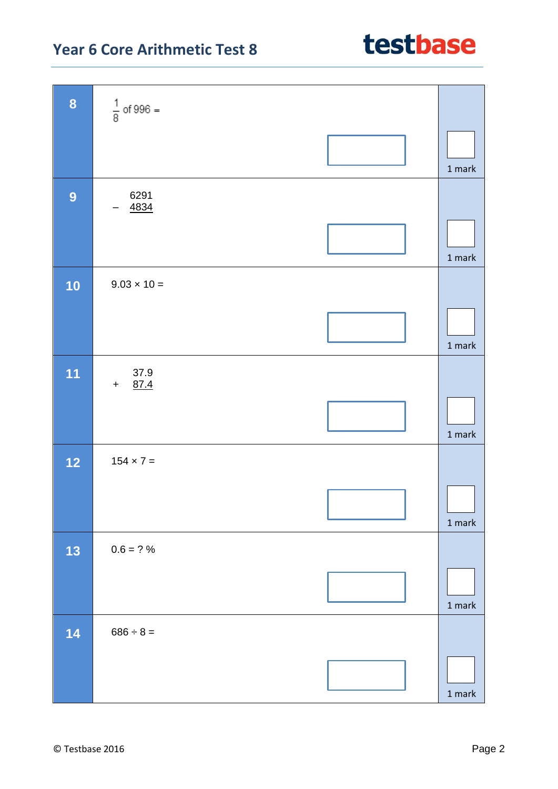# **Year 6 Core Arithmetic Test 8 8**  $\frac{1}{8}$  of 996 = **9** 6291 – 4834 **10**  $\vert$  9.03  $\times$  10 =

|      | 4834                |                                   |
|------|---------------------|-----------------------------------|
|      |                     | $1$ mark $\,$                     |
| 10   | $9.03 \times 10 =$  |                                   |
|      |                     | $1$ mark $\,$                     |
| 11   | 37.9<br>87.4<br>$+$ |                                   |
|      |                     | $1$ mark                          |
| $12$ | $154 \times 7 =$    |                                   |
|      |                     | $1 \ensuremath{\, \mathrm{mark}}$ |
| 13   | $0.6 = ?%$          |                                   |
|      |                     | $1$ mark                          |
| 14   | $686 \div 8 =$      |                                   |
|      |                     | $1$ mark $\,$                     |

## testbase

1 mark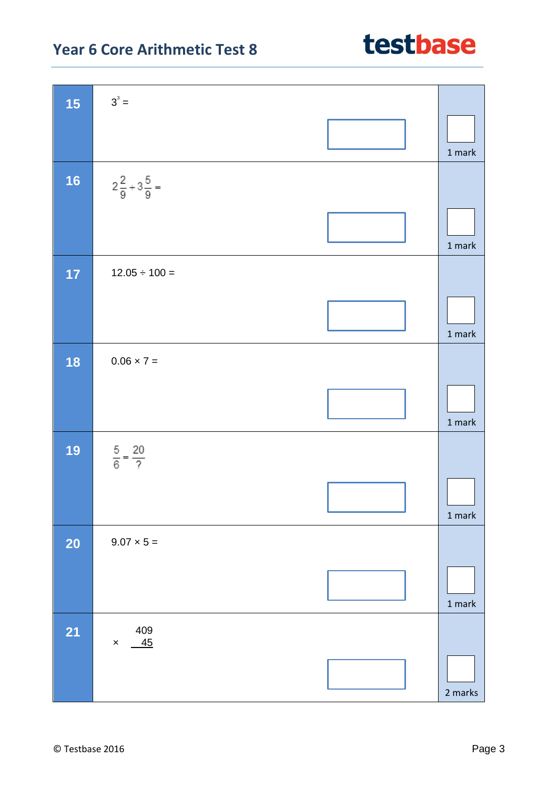| 15        | $3^3 =$                        |                                   |
|-----------|--------------------------------|-----------------------------------|
|           |                                | 1 mark                            |
| <b>16</b> | $2\frac{2}{9}+3\frac{5}{9}=$   |                                   |
|           |                                | $1$ mark $\,$                     |
| 17        | $12.05 \div 100 =$             |                                   |
|           |                                | $1$ mark                          |
| 18        | $0.06 \times 7 =$              |                                   |
|           |                                | 1 mark                            |
| 19        | $rac{5}{6} = \frac{20}{?}$     |                                   |
|           |                                | $1 \ensuremath{\, \mathrm{mark}}$ |
| <b>20</b> | $9.07 \times 5 =$              |                                   |
|           |                                | $1$ mark                          |
| <b>21</b> | 409<br>$-45$<br>$\pmb{\times}$ |                                   |
|           |                                | 2 marks                           |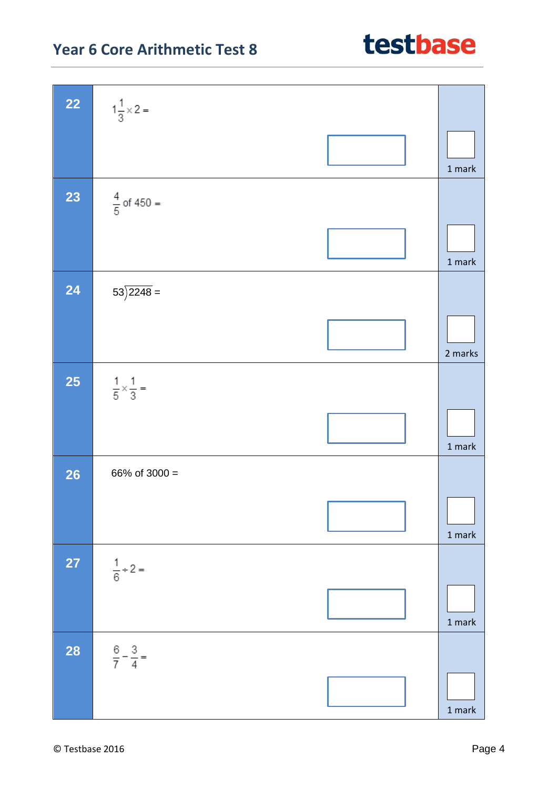#### **Year 6 Core Arithmetic Test 8**

| $22$      | $1\frac{1}{3} \times 2 =$          |                                   |
|-----------|------------------------------------|-----------------------------------|
|           |                                    | 1 mark                            |
| 23        | $\frac{4}{5}$ of 450 =             |                                   |
|           |                                    | $1$ mark                          |
| 24        | $53\overline{\smash{)}2248}$ =     |                                   |
|           |                                    | 2 marks                           |
| <b>25</b> | $\frac{1}{5} \times \frac{1}{3} =$ |                                   |
|           |                                    | 1 mark                            |
| <b>26</b> | 66% of 3000 =                      |                                   |
|           |                                    | $1$ mark $\,$                     |
| <b>27</b> | $\frac{1}{6}$ ÷ 2 =                |                                   |
|           |                                    | $1$ mark $\,$                     |
| <b>28</b> | $\frac{6}{7} - \frac{3}{4} =$      |                                   |
|           |                                    | $1 \ensuremath{\, \mathrm{mark}}$ |